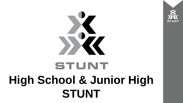

# STUNT **High School & Junior High STUNT**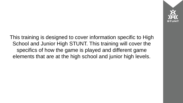This training is designed to cover information specific to High School and Junior High STUNT. This training will cover the specifics of how the game is played and different game elements that are at the high school and junior high levels.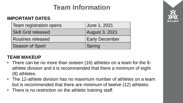## **Team Information**

#### **IMPORTANT DATES**

| Team registration opens    | June 1, 2021          |  |  |  |  |  |  |
|----------------------------|-----------------------|--|--|--|--|--|--|
| <b>Skill Grid released</b> | <b>August 3, 2021</b> |  |  |  |  |  |  |
| <b>Routines released</b>   | <b>Early December</b> |  |  |  |  |  |  |
| <b>Season of Sport</b>     | Spring                |  |  |  |  |  |  |

#### **TEAM MAKEUP**

- There can be no more than sixteen (16) athletes on a team for the 8athlete division and it is recommended that there a minimum of eight (8) athletes.
- The 12-athlete division has no maximum number of athletes on a team but is recommended that there are minimum of twelve (12) athletes.
- There is no restriction on the athletic training staff.

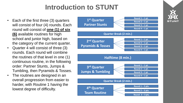## **Introduction to STUNT**

- Each of the first three (3) quarters will consist of four (4) rounds. Each round will consist of **one (1) of six (6)** available routines for high school and junior high, based on the category of the current quarter.
- Quarter 4 will consist of three (3) rounds. Each round will combine the routines of that level in one (1) continuous routine, in the following order: Partner Stunts, Jumps & Tumbling, then Pyramids & Tosses.
- The routines are designed in an overall progression from easier to harder, with Routine 1 having the lowest degree of difficulty.



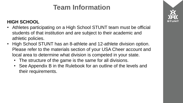## **Team Information**

#### **HIGH SCHOOL**

- Athletes participating on a High School STUNT team must be official students of that institution and are subject to their academic and athletic policies.
- High School STUNT has an 8-athlete and 12-athlete division option. Please refer to the materials section of your USA Cheer account and local area to determine what division is competed in your state.
	- The structure of the game is the same for all divisions.
	- See Appendix B in the Rulebook for an outline of the levels and their requirements.

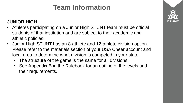## **Team Information**

#### **JUNIOR HIGH**

- Athletes participating on a Junior High STUNT team must be official students of that institution and are subject to their academic and athletic policies.
- Junior High STUNT has an 8-athlete and 12-athlete division option. Please refer to the materials section of your USA Cheer account and local area to determine what division is competed in your state.
	- The structure of the game is the same for all divisions.
	- See Appendix B in the Rulebook for an outline of the levels and their requirements.

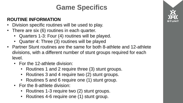## **Game Specifics**

#### **ROUTINE INFORMATION**

- Division specific routines will be used to play.
- There are six (6) routines in each quarter.
	- Quarters 1-3: Four (4) routines will be played.
	- Quarter 4: Three (3) routines will be played
- Partner Stunt routines are the same for both 8-athlete and 12-athlete divisions, with a different number of stunt groups required for each level.
	- For the 12-athlete division:
		- Routines 1 and 2 require three (3) stunt groups.
		- Routines 3 and 4 require two (2) stunt groups.
		- Routines 5 and 6 require one (1) stunt group.
	- For the 8-athlete division:
		- Routines 1-3 require two (2) stunt groups.
		- Routines 4-6 require one (1) stunt group.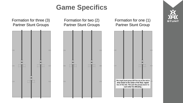## **Game Specifics**



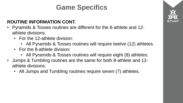## **Game Specifics**

#### **ROUTINE INFORMATION CONT.**

- Pyramids & Tosses routines are different for the 8-athlete and 12 athlete divisions.
	- For the 12-athlete division:
		- All Pyramids & Tosses routines will require twelve (12) athletes.
	- For the 8-athlete division:
		- All Pyramids & Tosses routines will require eight (8) athletes.
- Jumps & Tumbling routines are the same for both 8-athlete and 12 athlete divisions.
	- All Jumps and Tumbling routines require seven (7) athletes.

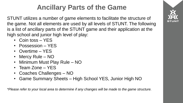## **Ancillary Parts of the Game**

STUNT utilizes a number of game elements to facilitate the structure of the game. Not all elements are used by all levels of STUNT. The following is a list of ancillary parts of the STUNT game and their application at the high school and junior high level of play:

- Coin toss YES
- Possession YES
- Overtime YES
- Mercy Rule NO
- Minimum Must Play Rule NO
- Team Zone YES
- Coaches Challenges NO
- Game Summary Sheets High School YES, Junior High NO

*\*Please refer to your local area to determine if any changes will be made to the game structure.*

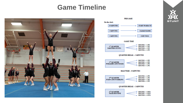### **Game Timeline**





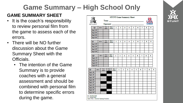# **Game Summary – High School Only**

#### **GAME SUMMARY SHEET**

- It is the coach's responsibility to review personal film from the game to assess each of the errors.
- There will be NO further discussion about the Game Summary Sheet with the Officials.
	- The intention of the Game Summary is to provide coaches with a general assessment and should be combined with personal film to determine specific errors during the game.

|                                                                                  | <b>STUNT Game Summary Sheet</b>                                                                                                                                                                                                |          |                                                             |      |      |                |               |                |              |   |   |   |        |   |   |   |   |   |   |   |
|----------------------------------------------------------------------------------|--------------------------------------------------------------------------------------------------------------------------------------------------------------------------------------------------------------------------------|----------|-------------------------------------------------------------|------|------|----------------|---------------|----------------|--------------|---|---|---|--------|---|---|---|---|---|---|---|
|                                                                                  | Team: The Contract of the Contract of the Contract of the Contract of the Contract of the Contract of the Contract of the Contract of the Contract of the Contract of the Contract of the Contract of the Contract of the Cont |          |                                                             |      |      |                |               |                |              |   |   |   |        |   |   |   |   |   |   |   |
|                                                                                  | <b>STUNT</b>                                                                                                                                                                                                                   |          | Opponent:                                                   |      |      |                |               |                |              |   |   |   |        |   |   |   |   |   |   |   |
|                                                                                  | Q1                                                                                                                                                                                                                             |          | Sor<br>RT #<br>more                                         |      |      | Open.<br>Form. | ı             |                | $\mathbf{2}$ | 3 | 4 |   | 5<br>б |   | 7 |   | 8 |   |   |   |
|                                                                                  | Rnd 1 PS                                                                                                                                                                                                                       |          |                                                             |      |      |                |               |                |              |   |   |   |        |   |   |   |   |   |   |   |
|                                                                                  | Rnd 2 PS                                                                                                                                                                                                                       |          |                                                             |      |      |                |               |                |              |   |   |   |        |   |   |   |   |   |   |   |
|                                                                                  | Rnd 3 PS                                                                                                                                                                                                                       |          |                                                             |      |      |                |               |                |              |   |   |   |        |   |   |   |   |   |   |   |
|                                                                                  | Rnd 4 PS                                                                                                                                                                                                                       |          |                                                             |      |      |                |               |                |              |   |   |   |        |   |   |   |   |   |   |   |
|                                                                                  | Q <sub>2</sub>                                                                                                                                                                                                                 |          | RT #                                                        |      | 8 or |                | Open.         | ı              |              | 2 | з | 4 |        | 5 | 6 | 7 |   | s | 9 |   |
|                                                                                  | Rad 1 PT                                                                                                                                                                                                                       |          |                                                             |      | more |                |               | Form.          |              |   |   |   |        |   |   |   |   |   |   |   |
|                                                                                  | Rnd 2 PT                                                                                                                                                                                                                       |          |                                                             |      |      |                |               |                |              |   |   |   |        |   |   |   |   |   |   |   |
|                                                                                  |                                                                                                                                                                                                                                | Rnd 3 PT |                                                             |      |      |                |               |                |              |   |   |   |        |   |   |   |   |   |   |   |
|                                                                                  | Rnd 4 PT                                                                                                                                                                                                                       |          |                                                             |      |      |                |               |                |              |   |   |   |        |   |   |   |   |   |   |   |
|                                                                                  |                                                                                                                                                                                                                                |          | $12$ or<br>Open.<br>RT #<br>ı<br>2<br>3<br>4<br>5<br>6<br>7 |      |      |                |               |                |              |   |   |   |        | 8 |   | 9 |   |   |   |   |
|                                                                                  | Q3<br>Rnd 1 JT                                                                                                                                                                                                                 |          |                                                             | more |      |                | Form.         |                |              |   |   |   |        |   |   |   |   |   |   |   |
|                                                                                  | Rnd 2 JT<br>Rnd 3 JT                                                                                                                                                                                                           |          |                                                             |      |      |                |               |                |              |   |   |   |        |   |   |   |   |   |   |   |
|                                                                                  |                                                                                                                                                                                                                                |          |                                                             |      |      |                |               |                |              |   |   |   |        |   |   |   |   |   |   |   |
|                                                                                  | Rad4JT                                                                                                                                                                                                                         |          |                                                             |      |      |                |               |                |              |   |   |   |        |   |   |   |   |   |   |   |
|                                                                                  |                                                                                                                                                                                                                                |          |                                                             |      | 8 or |                |               |                |              |   |   |   |        |   |   |   |   |   |   |   |
| Q4                                                                               |                                                                                                                                                                                                                                | RT#      |                                                             |      | more |                | 12 or<br>more | Open.<br>Form. | ı            |   | 2 | з |        | 4 | 5 | 6 | 7 |   | 8 | 9 |
|                                                                                  | Rnd 1 PS                                                                                                                                                                                                                       |          |                                                             |      |      |                |               |                |              |   |   |   |        |   |   |   |   |   |   |   |
|                                                                                  | Rad 1 JT                                                                                                                                                                                                                       |          |                                                             |      |      |                |               |                |              |   |   |   |        |   |   |   |   |   |   |   |
|                                                                                  | Rad 1 PT                                                                                                                                                                                                                       |          |                                                             |      |      |                |               |                |              |   |   |   |        |   |   |   |   |   |   |   |
|                                                                                  | Rnd 2 PS                                                                                                                                                                                                                       |          |                                                             |      |      |                |               |                |              |   |   |   |        |   |   |   |   |   |   |   |
|                                                                                  | Rnd 2 JT                                                                                                                                                                                                                       |          |                                                             |      |      |                |               |                |              |   |   |   |        |   |   |   |   |   |   |   |
|                                                                                  | Rnd 2 PT                                                                                                                                                                                                                       |          |                                                             |      |      |                |               |                |              |   |   |   |        |   |   |   |   |   |   |   |
|                                                                                  | Rnd 3 PS                                                                                                                                                                                                                       |          |                                                             |      |      |                |               |                |              |   |   |   |        |   |   |   |   |   |   |   |
|                                                                                  | Rnd 3 JT                                                                                                                                                                                                                       |          |                                                             |      |      |                |               |                |              |   |   |   |        |   |   |   |   |   |   |   |
|                                                                                  | Rad 3 PT                                                                                                                                                                                                                       |          |                                                             |      |      |                |               |                |              |   |   |   |        |   |   |   |   |   |   |   |
| M-Modified Skill<br>O-Omitted Skill<br>Open. Form. - Incorrect Opening Formation |                                                                                                                                                                                                                                |          |                                                             |      |      |                |               |                |              |   |   |   |        |   |   |   |   |   |   |   |

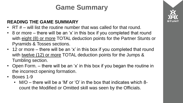## **Game Summary**

#### **READING THE GAME SUMMARY**

- RT  $#$  will list the routine number that was called for that round.
- 8 or more there will be an 'x' in this box if you completed that round with eight (8) or more TOTAL deduction points for the Partner Stunts or Pyramids & Tosses sections.
- 12 or more there will be an 'x' in this box if you completed that round with twelve (12) or more TOTAL deduction points for the Jumps & Tumbling section.
- Open Form. there will be an 'x' in this box if you began the routine in the incorrect opening formation.
- Boxes 1-9
	- M/O there will be a 'M' or 'O' in the box that indicates which 8 count the Modified or Omitted skill was seen by the Officials.

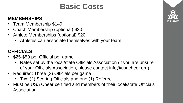# **Basic Costs**

#### **MEMBERSHIPS**

- Team Membership \$149
- Coach Membership (optional) \$30
- Athlete Memberships (optional) \$20
	- Athletes can associate themselves with your team.

#### **OFFICIALS**

- \$25-\$50 per Official per game
	- Rates set by the local/state Officials Association (if you are unsure of your Officials Association, please contact info@usacheer.org).
- Required: Three (3) Officials per game
	- Two (2) Scoring Officials and one (1) Referee
- Must be USA Cheer certified and members of their local/state Officials Association.

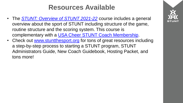## **Resources Available**

- The *[STUNT: Overview of STUNT 2021-22](https://usacheer.webpoint.us/wp15/Certifications/Certification.wp?cer_purchproductID=695)* course includes a general overview about the sport of STUNT including structure of the game, routine structure and the scoring system. This course is complementary with a [USA Cheer STUNT Coach Membership.](https://www.stuntthesport.org/membership-options/)
- Check out [www.stuntthesport.org](http://www.stuntthesport.org/) for tons of great resources including a step-by-step process to starting a STUNT program, STUNT Administrators Guide, New Coach Guidebook, Hosting Packet, and tons more!